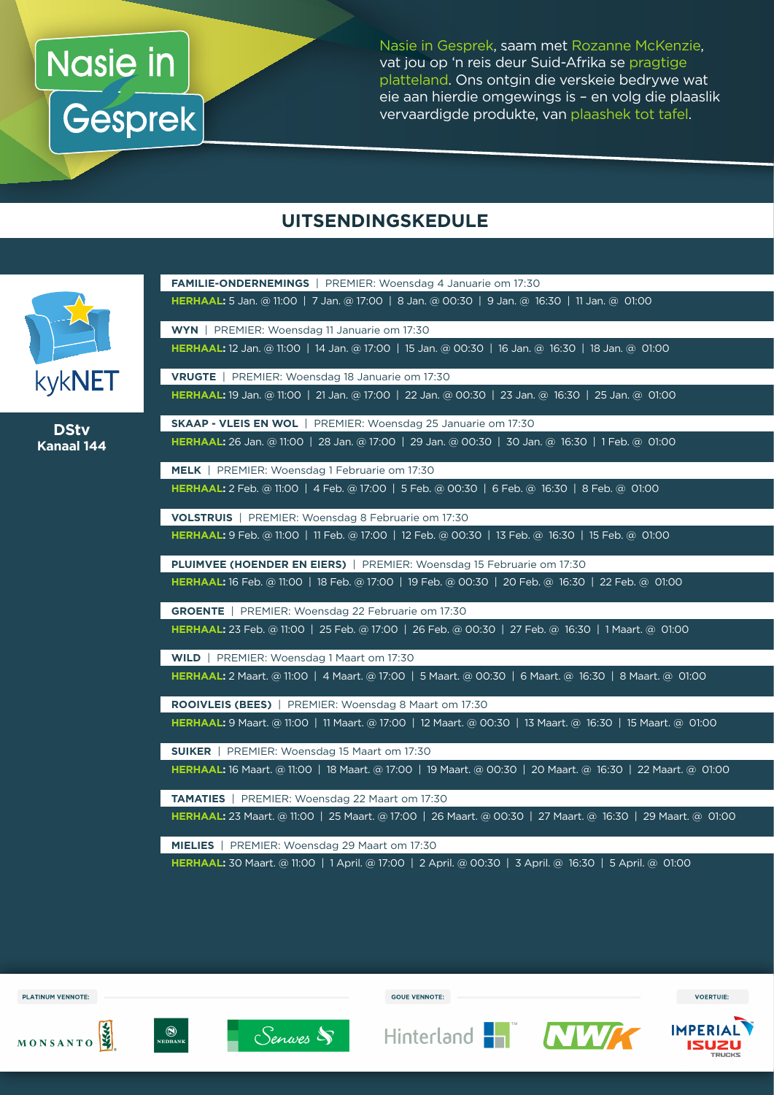## Nasie in **Gesprek**

Nasie in Gesprek, saam met Rozanne McKenzie, vat jou op 'n reis deur Suid-Afrika se pragtige platteland. Ons ontgin die verskeie bedrywe wat eie aan hierdie omgewings is – en volg die plaaslik vervaardigde produkte, van plaashek tot tafel.

#### **UITSENDINGSKEDULE**

**FAMILIE-ONDERNEMINGS** | PREMIER: Woensdag 4 Januarie om 17:30



**DStv Kanaal 144**

| <b>HERHAAL:</b> 5 Jan. @ 11:00   7 Jan. @ 17:00   8 Jan. @ 00:30   9 Jan. @ 16:30   11 Jan. @ 01:00        |
|------------------------------------------------------------------------------------------------------------|
| WYN   PREMIER: Woensdag 11 Januarie om 17:30                                                               |
| HERHAAL: 12 Jan. @ 11:00   14 Jan. @ 17:00   15 Jan. @ 00:30   16 Jan. @ 16:30   18 Jan. @ 01:00           |
| <b>VRUGTE</b>   PREMIER: Woensdag 18 Januarie om 17:30                                                     |
| HERHAAL: 19 Jan. @ 11:00   21 Jan. @ 17:00   22 Jan. @ 00:30   23 Jan. @ 16:30   25 Jan. @ 01:00           |
| <b>SKAAP - VLEIS EN WOL</b>   PREMIER: Woensdag 25 Januarie om 17:30                                       |
| HERHAAL: 26 Jan. @ 11:00   28 Jan. @ 17:00   29 Jan. @ 00:30   30 Jan. @ 16:30   1 Feb. @ 01:00            |
| MELK   PREMIER: Woensdag 1 Februarie om 17:30                                                              |
| HERHAAL: 2 Feb. @ 11:00   4 Feb. @ 17:00   5 Feb. @ 00:30   6 Feb. @ 16:30   8 Feb. @ 01:00                |
| VOLSTRUIS   PREMIER: Woensdag 8 Februarie om 17:30                                                         |
| HERHAAL: 9 Feb. @ 11:00   11 Feb. @ 17:00   12 Feb. @ 00:30   13 Feb. @ 16:30   15 Feb. @ 01:00            |
| PLUIMVEE (HOENDER EN EIERS)   PREMIER: Woensdag 15 Februarie om 17:30                                      |
| HERHAAL: 16 Feb. @ 11:00   18 Feb. @ 17:00   19 Feb. @ 00:30   20 Feb. @ 16:30   22 Feb. @ 01:00           |
| <b>GROENTE</b>   PREMIER: Woensdag 22 Februarie om 17:30                                                   |
| HERHAAL: 23 Feb. @ 11:00   25 Feb. @ 17:00   26 Feb. @ 00:30   27 Feb. @ 16:30   1 Maart. @ 01:00          |
| WILD   PREMIER: Woensdag 1 Maart om 17:30                                                                  |
| HERHAAL: 2 Maart. @ 11:00   4 Maart. @ 17:00   5 Maart. @ 00:30   6 Maart. @ 16:30   8 Maart. @ 01:00      |
| <b>ROOIVLEIS (BEES)</b>   PREMIER: Woensdag 8 Maart om 17:30                                               |
| HERHAAL: 9 Maart. @ 11:00   11 Maart. @ 17:00   12 Maart. @ 00:30   13 Maart. @ 16:30   15 Maart. @ 01:00  |
| <b>SUIKER</b>   PREMIER: Woensdag 15 Maart om 17:30                                                        |
| HERHAAL: 16 Maart. @ 11:00   18 Maart. @ 17:00   19 Maart. @ 00:30   20 Maart. @ 16:30   22 Maart. @ 01:00 |
| <b>TAMATIES</b>   PREMIER: Woensdag 22 Maart om 17:30                                                      |
| HERHAAL: 23 Maart. @ 11:00   25 Maart. @ 17:00   26 Maart. @ 00:30   27 Maart. @ 16:30   29 Maart. @ 01:00 |
| MIELIES   PREMIER: Woensdag 29 Maart om 17:30                                                              |
| HERHAAL: 30 Maart. @ 11:00   1 April. @ 17:00   2 April. @ 00:30   3 April. @ 16:30   5 April. @ 01:00     |

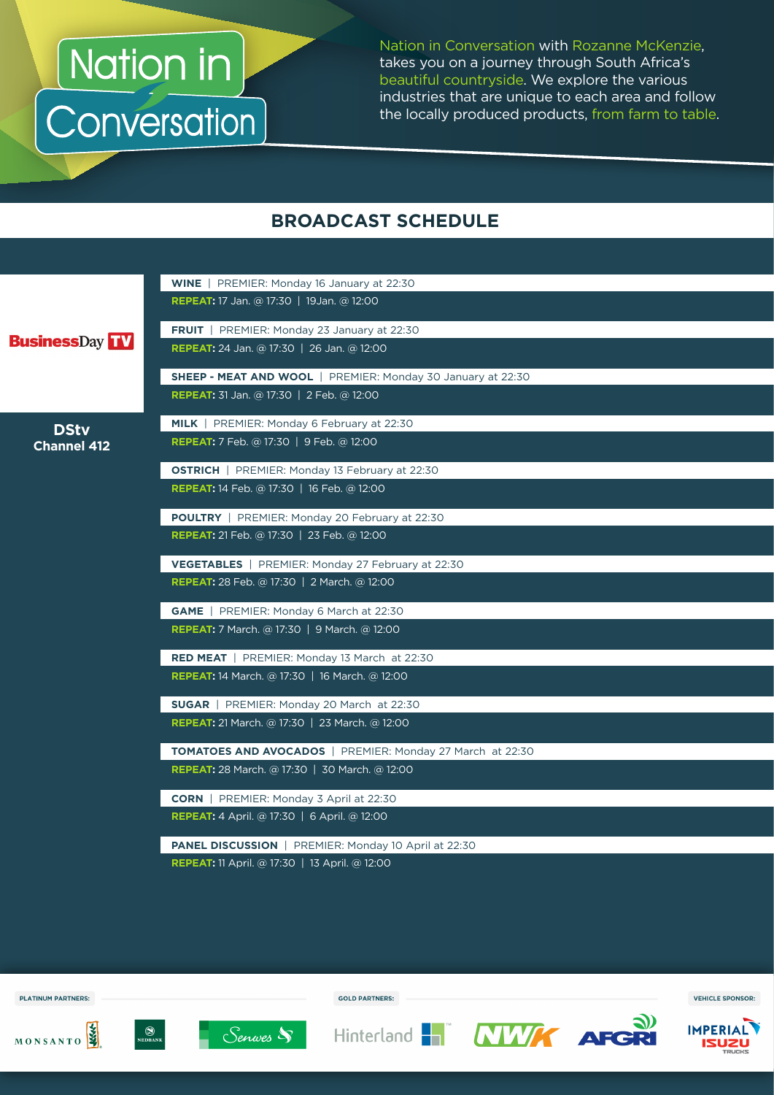Nation in<br>Conversation

Nation in Conversation with Rozanne McKenzie, takes you on a journey through South Africa's beautiful countryside. We explore the various industries that are unique to each area and follow the locally produced products, from farm to table.

#### **BROADCAST SCHEDULE**

|                       | WINE   PREMIER: Monday 16 January at 22:30                         |
|-----------------------|--------------------------------------------------------------------|
|                       | <b>REPEAT:</b> 17 Jan. @ 17:30   19 Jan. @ 12:00                   |
|                       | <b>FRUIT</b>   PREMIER: Monday 23 January at 22:30                 |
| <b>BusinessDay TV</b> | <b>REPEAT:</b> 24 Jan. @ 17:30   26 Jan. @ 12:00                   |
|                       | <b>SHEEP - MEAT AND WOOL</b>   PREMIER: Monday 30 January at 22:30 |
|                       | <b>REPEAT:</b> 31 Jan. @ 17:30   2 Feb. @ 12:00                    |
| <b>DStv</b>           | MILK   PREMIER: Monday 6 February at 22:30                         |
| <b>Channel 412</b>    | <b>REPEAT:</b> 7 Feb. @ 17:30   9 Feb. @ 12:00                     |
|                       | <b>OSTRICH</b>   PREMIER: Monday 13 February at 22:30              |
|                       | <b>REPEAT:</b> 14 Feb. @ 17:30   16 Feb. @ 12:00                   |
|                       | <b>POULTRY</b>   PREMIER: Monday 20 February at 22:30              |
|                       | <b>REPEAT:</b> 21 Feb. @ 17:30   23 Feb. @ 12:00                   |
|                       | <b>VEGETABLES</b>   PREMIER: Monday 27 February at 22:30           |
|                       | <b>REPEAT:</b> 28 Feb. @ 17:30   2 March. @ 12:00                  |
|                       | <b>GAME</b>   PREMIER: Monday 6 March at 22:30                     |
|                       | <b>REPEAT:</b> 7 March. @ 17:30   9 March. @ 12:00                 |
|                       | <b>RED MEAT</b>   PREMIER: Monday 13 March at 22:30                |
|                       | <b>REPEAT:</b> 14 March. @ 17:30   16 March. @ 12:00               |
|                       | <b>SUGAR</b>   PREMIER: Monday 20 March at 22:30                   |
|                       | <b>REPEAT:</b> 21 March. @ 17:30   23 March. @ 12:00               |
|                       | <b>TOMATOES AND AVOCADOS</b>   PREMIER: Monday 27 March at 22:30   |
|                       | <b>REPEAT:</b> 28 March. @ 17:30   30 March. @ 12:00               |
|                       | <b>CORN</b>   PREMIER: Monday 3 April at 22:30                     |
|                       | <b>REPEAT:</b> 4 April. @ 17:30   6 April. @ 12:00                 |
|                       | <b>PANEL DISCUSSION</b>   PREMIER: Monday 10 April at 22:30        |
|                       | <b>REPEAT:</b> 11 April. @ 17:30   13 April. @ 12:00               |



MONSANTO



<sup>(1)</sup><br>Nedbank



**GOLD PARTNERS:** 





VEHICLE SPONSOR: